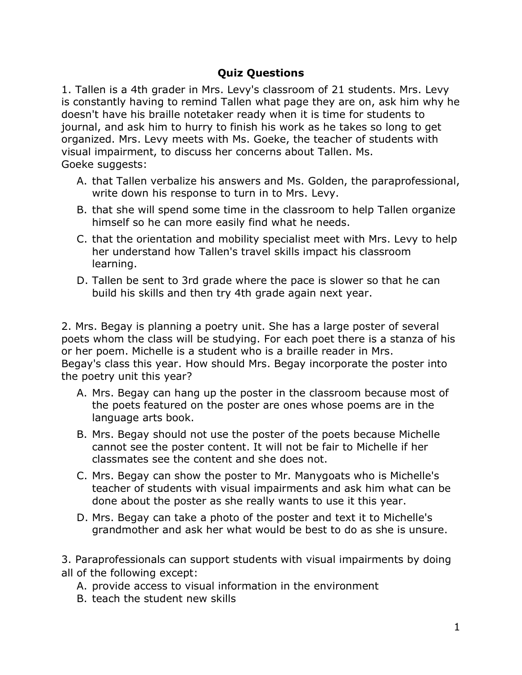## **Quiz Questions**

1. Tallen is a 4th grader in Mrs. Levy's classroom of 21 students. Mrs. Levy is constantly having to remind Tallen what page they are on, ask him why he doesn't have his braille notetaker ready when it is time for students to journal, and ask him to hurry to finish his work as he takes so long to get organized. Mrs. Levy meets with Ms. Goeke, the teacher of students with visual impairment, to discuss her concerns about Tallen. Ms. Goeke suggests:

- A. that Tallen verbalize his answers and Ms. Golden, the paraprofessional, write down his response to turn in to Mrs. Levy.
- B. that she will spend some time in the classroom to help Tallen organize himself so he can more easily find what he needs.
- C. that the orientation and mobility specialist meet with Mrs. Levy to help her understand how Tallen's travel skills impact his classroom learning.
- D. Tallen be sent to 3rd grade where the pace is slower so that he can build his skills and then try 4th grade again next year.

2. Mrs. Begay is planning a poetry unit. She has a large poster of several poets whom the class will be studying. For each poet there is a stanza of his or her poem. Michelle is a student who is a braille reader in Mrs. Begay's class this year. How should Mrs. Begay incorporate the poster into the poetry unit this year?

- A. Mrs. Begay can hang up the poster in the classroom because most of the poets featured on the poster are ones whose poems are in the language arts book.
- B. Mrs. Begay should not use the poster of the poets because Michelle cannot see the poster content. It will not be fair to Michelle if her classmates see the content and she does not.
- C. Mrs. Begay can show the poster to Mr. Manygoats who is Michelle's teacher of students with visual impairments and ask him what can be done about the poster as she really wants to use it this year.
- D. Mrs. Begay can take a photo of the poster and text it to Michelle's grandmother and ask her what would be best to do as she is unsure.

3. Paraprofessionals can support students with visual impairments by doing all of the following except:

- A. provide access to visual information in the environment
- B. teach the student new skills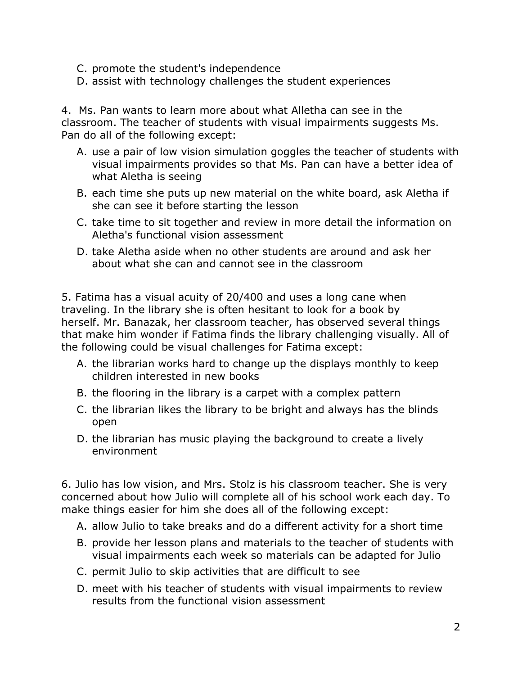- C. promote the student's independence
- D. assist with technology challenges the student experiences

4. Ms. Pan wants to learn more about what Alletha can see in the classroom. The teacher of students with visual impairments suggests Ms. Pan do all of the following except:

- A. use a pair of low vision simulation goggles the teacher of students with visual impairments provides so that Ms. Pan can have a better idea of what Aletha is seeing
- B. each time she puts up new material on the white board, ask Aletha if she can see it before starting the lesson
- C. take time to sit together and review in more detail the information on Aletha's functional vision assessment
- D. take Aletha aside when no other students are around and ask her about what she can and cannot see in the classroom

5. Fatima has a visual acuity of 20/400 and uses a long cane when traveling. In the library she is often hesitant to look for a book by herself. Mr. Banazak, her classroom teacher, has observed several things that make him wonder if Fatima finds the library challenging visually. All of the following could be visual challenges for Fatima except:

- A. the librarian works hard to change up the displays monthly to keep children interested in new books
- B. the flooring in the library is a carpet with a complex pattern
- C. the librarian likes the library to be bright and always has the blinds open
- D. the librarian has music playing the background to create a lively environment

6. Julio has low vision, and Mrs. Stolz is his classroom teacher. She is very concerned about how Julio will complete all of his school work each day. To make things easier for him she does all of the following except:

- A. allow Julio to take breaks and do a different activity for a short time
- B. provide her lesson plans and materials to the teacher of students with visual impairments each week so materials can be adapted for Julio
- C. permit Julio to skip activities that are difficult to see
- D. meet with his teacher of students with visual impairments to review results from the functional vision assessment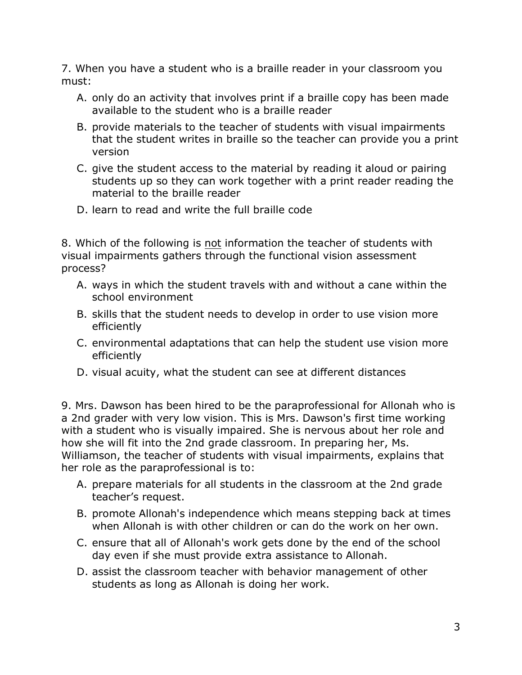7. When you have a student who is a braille reader in your classroom you must:

- A. only do an activity that involves print if a braille copy has been made available to the student who is a braille reader
- B. provide materials to the teacher of students with visual impairments that the student writes in braille so the teacher can provide you a print version
- C. give the student access to the material by reading it aloud or pairing students up so they can work together with a print reader reading the material to the braille reader
- D. learn to read and write the full braille code

8. Which of the following is not information the teacher of students with visual impairments gathers through the functional vision assessment process?

- A. ways in which the student travels with and without a cane within the school environment
- B. skills that the student needs to develop in order to use vision more efficiently
- C. environmental adaptations that can help the student use vision more efficiently
- D. visual acuity, what the student can see at different distances

9. Mrs. Dawson has been hired to be the paraprofessional for Allonah who is a 2nd grader with very low vision. This is Mrs. Dawson's first time working with a student who is visually impaired. She is nervous about her role and how she will fit into the 2nd grade classroom. In preparing her, Ms. Williamson, the teacher of students with visual impairments, explains that her role as the paraprofessional is to:

- A. prepare materials for all students in the classroom at the 2nd grade teacher's request.
- B. promote Allonah's independence which means stepping back at times when Allonah is with other children or can do the work on her own.
- C. ensure that all of Allonah's work gets done by the end of the school day even if she must provide extra assistance to Allonah.
- D. assist the classroom teacher with behavior management of other students as long as Allonah is doing her work.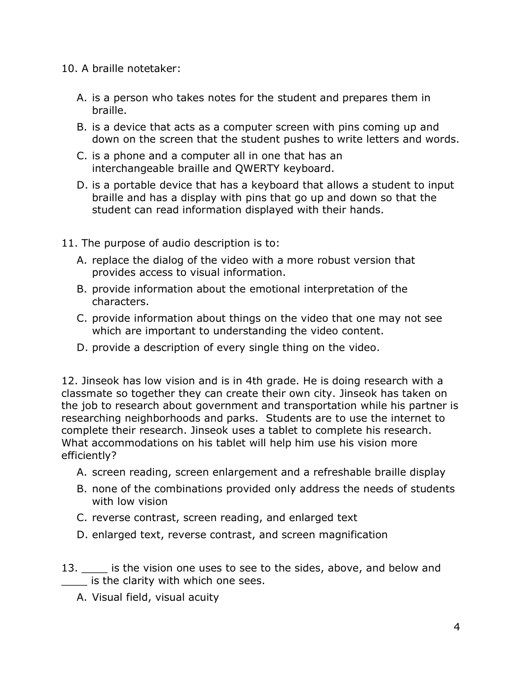## 10. A braille notetaker:

- A. is a person who takes notes for the student and prepares them in braille.
- B. is a device that acts as a computer screen with pins coming up and down on the screen that the student pushes to write letters and words.
- C. is a phone and a computer all in one that has an interchangeable braille and QWERTY keyboard.
- D. is a portable device that has a keyboard that allows a student to input braille and has a display with pins that go up and down so that the student can read information displayed with their hands.
- 11. The purpose of audio description is to:
	- A. replace the dialog of the video with a more robust version that provides access to visual information.
	- B. provide information about the emotional interpretation of the characters.
	- C. provide information about things on the video that one may not see which are important to understanding the video content.
	- D. provide a description of every single thing on the video.

12. Jinseok has low vision and is in 4th grade. He is doing research with a classmate so together they can create their own city. Jinseok has taken on the job to research about government and transportation while his partner is researching neighborhoods and parks. Students are to use the internet to complete their research. Jinseok uses a tablet to complete his research. What accommodations on his tablet will help him use his vision more efficiently?

- A. screen reading, screen enlargement and a refreshable braille display
- B. none of the combinations provided only address the needs of students with low vision
- C. reverse contrast, screen reading, and enlarged text
- D. enlarged text, reverse contrast, and screen magnification
- 13. **Example 20 is the vision one uses to see to the sides, above, and below and** \_\_\_\_ is the clarity with which one sees.
	- A. Visual field, visual acuity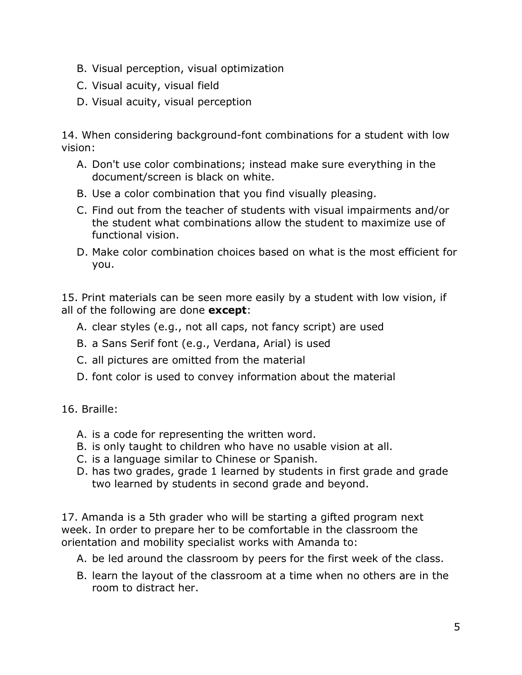- B. Visual perception, visual optimization
- C. Visual acuity, visual field
- D. Visual acuity, visual perception

14. When considering background-font combinations for a student with low vision:

- A. Don't use color combinations; instead make sure everything in the document/screen is black on white.
- B. Use a color combination that you find visually pleasing.
- C. Find out from the teacher of students with visual impairments and/or the student what combinations allow the student to maximize use of functional vision.
- D. Make color combination choices based on what is the most efficient for you.

15. Print materials can be seen more easily by a student with low vision, if all of the following are done **except**:

- A. clear styles (e.g., not all caps, not fancy script) are used
- B. a Sans Serif font (e.g., Verdana, Arial) is used
- C. all pictures are omitted from the material
- D. font color is used to convey information about the material

16. Braille:

- A. is a code for representing the written word.
- B. is only taught to children who have no usable vision at all.
- C. is a language similar to Chinese or Spanish.
- D. has two grades, grade 1 learned by students in first grade and grade two learned by students in second grade and beyond.

17. Amanda is a 5th grader who will be starting a gifted program next week. In order to prepare her to be comfortable in the classroom the orientation and mobility specialist works with Amanda to:

- A. be led around the classroom by peers for the first week of the class.
- B. learn the layout of the classroom at a time when no others are in the room to distract her.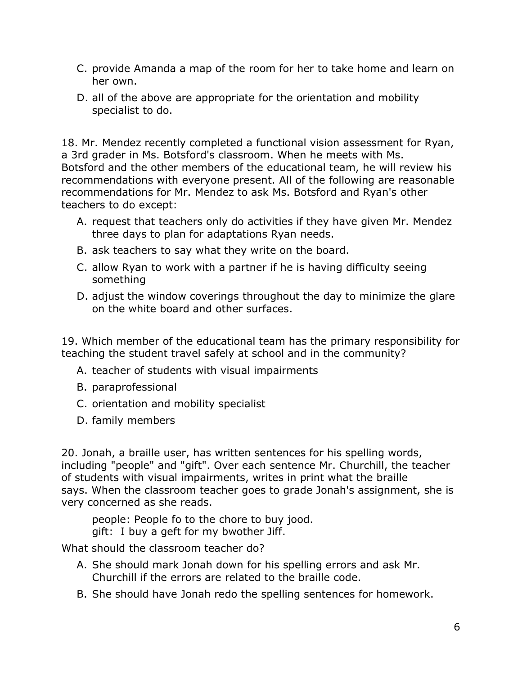- C. provide Amanda a map of the room for her to take home and learn on her own.
- D. all of the above are appropriate for the orientation and mobility specialist to do.

18. Mr. Mendez recently completed a functional vision assessment for Ryan, a 3rd grader in Ms. Botsford's classroom. When he meets with Ms. Botsford and the other members of the educational team, he will review his recommendations with everyone present. All of the following are reasonable recommendations for Mr. Mendez to ask Ms. Botsford and Ryan's other teachers to do except:

- A. request that teachers only do activities if they have given Mr. Mendez three days to plan for adaptations Ryan needs.
- B. ask teachers to say what they write on the board.
- C. allow Ryan to work with a partner if he is having difficulty seeing something
- D. adjust the window coverings throughout the day to minimize the glare on the white board and other surfaces.

19. Which member of the educational team has the primary responsibility for teaching the student travel safely at school and in the community?

- A. teacher of students with visual impairments
- B. paraprofessional
- C. orientation and mobility specialist
- D. family members

20. Jonah, a braille user, has written sentences for his spelling words, including "people" and "gift". Over each sentence Mr. Churchill, the teacher of students with visual impairments, writes in print what the braille says. When the classroom teacher goes to grade Jonah's assignment, she is very concerned as she reads.

people: People fo to the chore to buy jood. gift: I buy a geft for my bwother Jiff.

What should the classroom teacher do?

- A. She should mark Jonah down for his spelling errors and ask Mr. Churchill if the errors are related to the braille code.
- B. She should have Jonah redo the spelling sentences for homework.